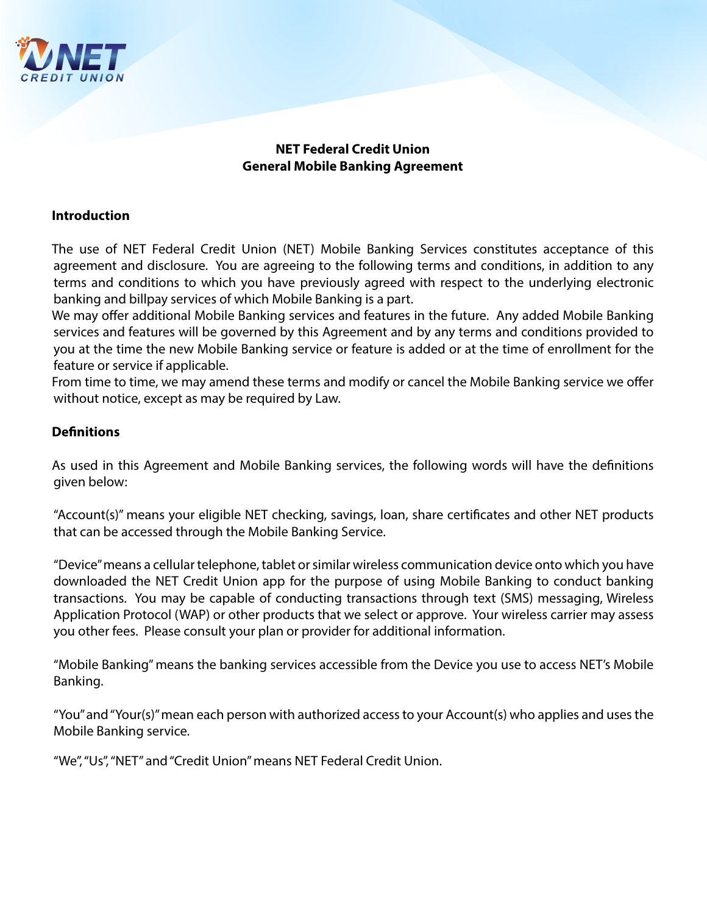

# **NET Federal Credit Union General Mobile Banking Agreement**

## **Introduction**

The use of NET Federal Credit Union (NET) Mobile Banking Services constitutes acceptance of this agreement and disclosure. You are agreeing to the following terms and conditions, in addition to any terms and conditions to which you have previously agreed with respect to the underlying electronic banking and billpay services of which Mobile Banking is a part.

We may offer additional Mobile Banking services and features in the future. Any added Mobile Banking services and features will be governed by this Agreement and by any terms and conditions provided to you at the time the new Mobile Banking service or feature is added or at the time of enrollment for the feature or service if applicable.

From time to time, we may amend these terms and modify or cancel the Mobile Banking service we offer without notice, except as may be required by Law.

### **Definitions**

As used in this Agreement and Mobile Banking services, the following words will have the definitions given below:

"Account(s)" means your eligible NET checking, savings, loan, share certificates and other NET products that can be accessed through the Mobile Banking Service.

"Device" means a cellular telephone, tablet or similar wireless communication device onto which you have downloaded the NET Credit Union app for the purpose of using Mobile Banking to conduct banking transactions. You may be capable of conducting transactions through text (SMS) messaging, Wireless Application Protocol (WAP) or other products that we select or approve. Your wireless carrier may assess you other fees. Please consult your plan or provider for additional information.

"Mobile Banking" means the banking services accessible from the Device you use to access NET's Mobile Banking.

"You" and "Your(s)" mean each person with authorized access to your Account(s) who applies and uses the Mobile Banking service.

"We", "Us", "NET" and "Credit Union" means NET Federal Credit Union.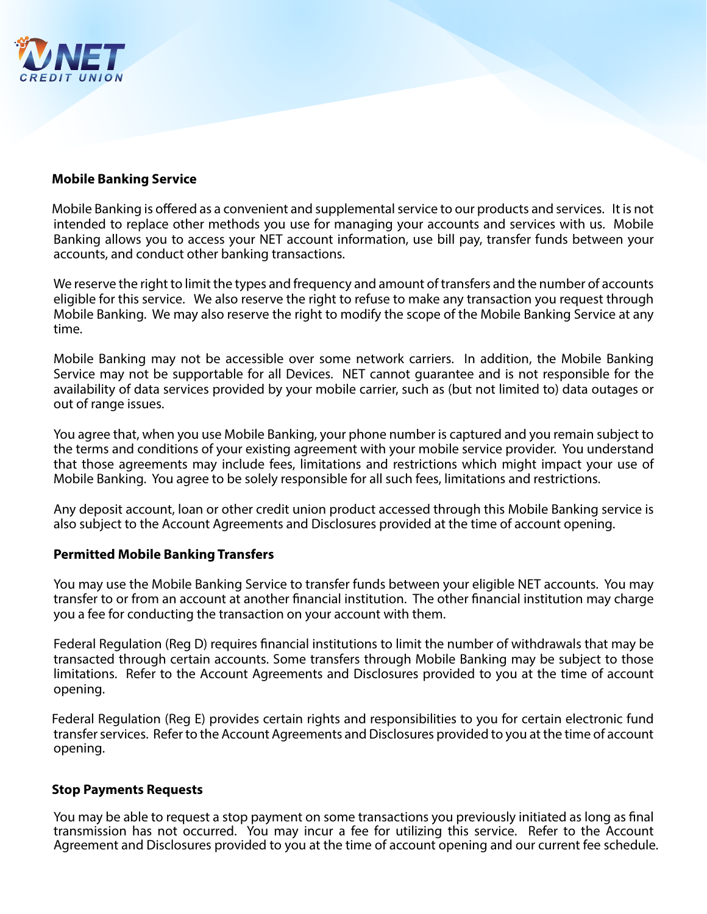

### **Mobile Banking Service**

Mobile Banking is offered as a convenient and supplemental service to our products and services. It is not intended to replace other methods you use for managing your accounts and services with us. Mobile Banking allows you to access your NET account information, use bill pay, transfer funds between your accounts, and conduct other banking transactions.

We reserve the right to limit the types and frequency and amount of transfers and the number of accounts eligible for this service. We also reserve the right to refuse to make any transaction you request through Mobile Banking. We may also reserve the right to modify the scope of the Mobile Banking Service at any time.

Mobile Banking may not be accessible over some network carriers. In addition, the Mobile Banking Service may not be supportable for all Devices. NET cannot guarantee and is not responsible for the availability of data services provided by your mobile carrier, such as (but not limited to) data outages or out of range issues.

You agree that, when you use Mobile Banking, your phone number is captured and you remain subject to the terms and conditions of your existing agreement with your mobile service provider. You understand that those agreements may include fees, limitations and restrictions which might impact your use of Mobile Banking. You agree to be solely responsible for all such fees, limitations and restrictions.

Any deposit account, loan or other credit union product accessed through this Mobile Banking service is also subject to the Account Agreements and Disclosures provided at the time of account opening.

### **Permitted Mobile Banking Transfers**

You may use the Mobile Banking Service to transfer funds between your eligible NET accounts. You may transfer to or from an account at another financial institution. The other financial institution may charge you a fee for conducting the transaction on your account with them.

Federal Regulation (Reg D) requires financial institutions to limit the number of withdrawals that may be transacted through certain accounts. Some transfers through Mobile Banking may be subject to those limitations. Refer to the Account Agreements and Disclosures provided to you at the time of account opening.

Federal Regulation (Reg E) provides certain rights and responsibilities to you for certain electronic fund transfer services. Refer to the Account Agreements and Disclosures provided to you at the time of account opening.

### **Stop Payments Requests**

You may be able to request a stop payment on some transactions you previously initiated as long as final transmission has not occurred. You may incur a fee for utilizing this service. Refer to the Account Agreement and Disclosures provided to you at the time of account opening and our current fee schedule.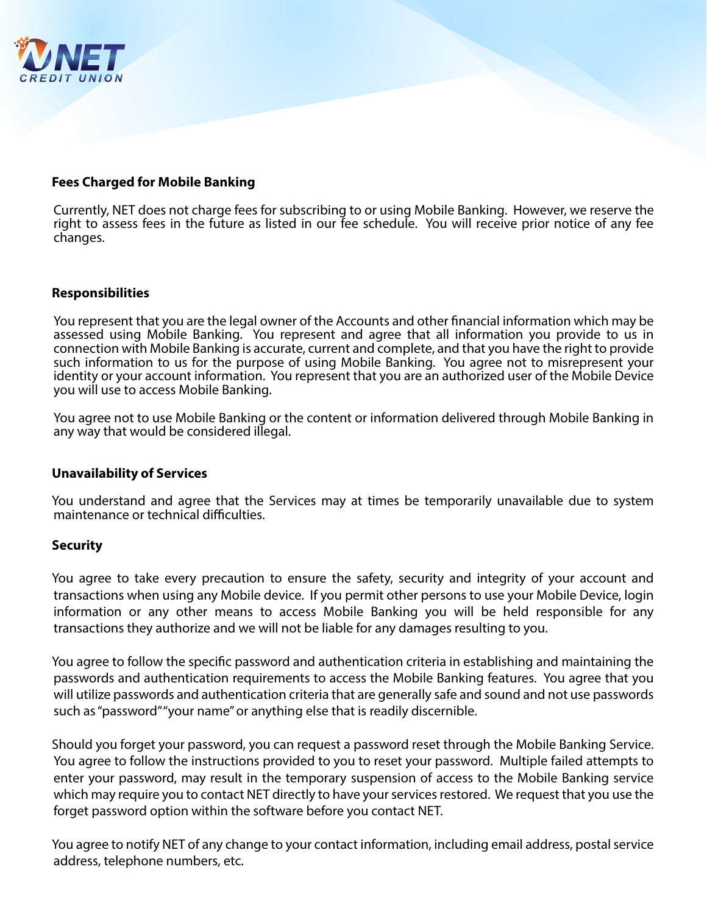

### **Fees Charged for Mobile Banking**

Currently, NET does not charge fees for subscribing to or using Mobile Banking. However, we reserve the right to assess fees in the future as listed in our fee schedule. You will receive prior notice of any fee changes.

### **Responsibilities**

You represent that you are the legal owner of the Accounts and other financial information which may be assessed using Mobile Banking. You represent and agree that all information you provide to us in connection with Mobile Banking is accurate, current and complete, and that you have the right to provide such information to us for the purpose of using Mobile Banking. You agree not to misrepresent your identity or your account information. You represent that you are an authorized user of the Mobile Device you will use to access Mobile Banking.

You agree not to use Mobile Banking or the content or information delivered through Mobile Banking in any way that would be considered illegal.

### **Unavailability of Services**

You understand and agree that the Services may at times be temporarily unavailable due to system maintenance or technical difficulties.

### **Security**

You agree to take every precaution to ensure the safety, security and integrity of your account and transactions when using any Mobile device. If you permit other persons to use your Mobile Device, login information or any other means to access Mobile Banking you will be held responsible for any transactions they authorize and we will not be liable for any damages resulting to you.

You agree to follow the specific password and authentication criteria in establishing and maintaining the passwords and authentication requirements to access the Mobile Banking features. You agree that you will utilize passwords and authentication criteria that are generally safe and sound and not use passwords such as "password" "your name" or anything else that is readily discernible.

Should you forget your password, you can request a password reset through the Mobile Banking Service. You agree to follow the instructions provided to you to reset your password. Multiple failed attempts to enter your password, may result in the temporary suspension of access to the Mobile Banking service which may require you to contact NET directly to have your services restored. We request that you use the forget password option within the software before you contact NET.

You agree to notify NET of any change to your contact information, including email address, postal service address, telephone numbers, etc.